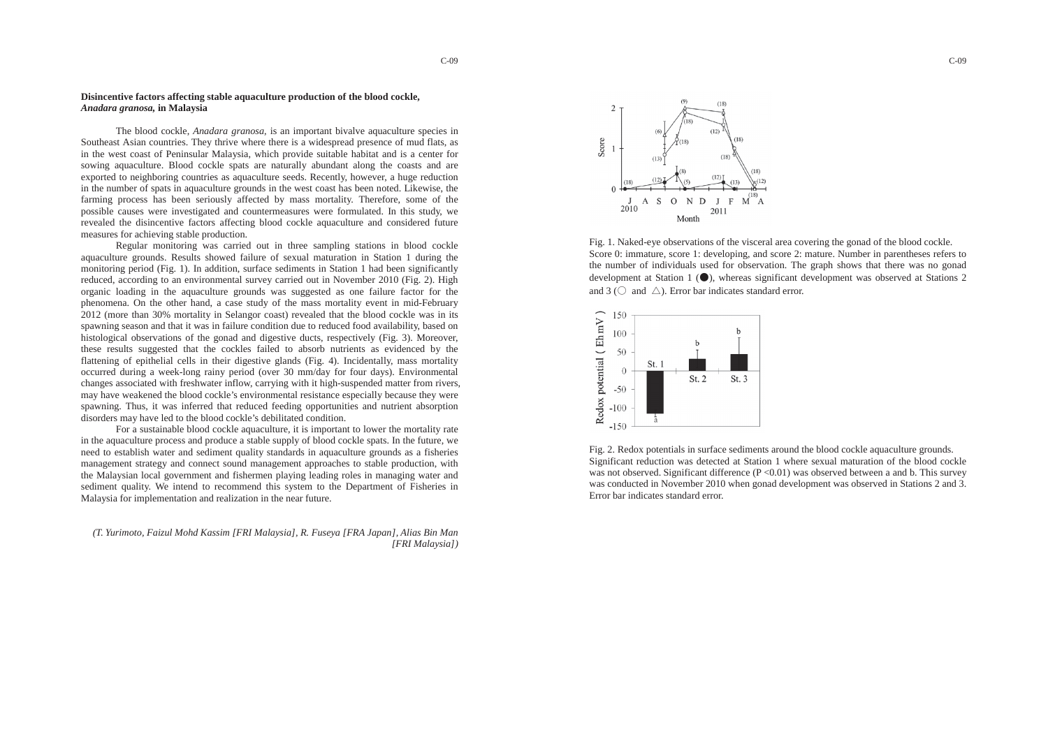## **Disincentive factors affecting stable aquaculture production of the blood cockle,**  *Anadara granosa,* **in Malaysia**

The blood cockle, *Anadara granosa*, is an important bivalve aquaculture species in Southeast Asian countries. They thrive where there is a widespread presence of mud flats, as in the west coast of Peninsular Malaysia, which provide suitable habitat and is <sup>a</sup> center for sowing aquaculture. Blood cockle spats are naturally abundant along the coasts and are exported to neighboring countries as aquaculture seeds. Recently, however, a huge reduction in the number of spats in aquaculture grounds in the west coast has been noted. Likewise, the farming process has been seriously affected by mass mortality. Therefore, some of the possible causes were investigated and countermeasures were formulated. In this study, we revealed the disincentive factors affecting blood cockle aquaculture and considered future measures for achieving stable production.



Fig. 1. Naked-eye observations of the visceral area covering the gonad of the blood cockle. Score 0: immature, score 1: developing, and score 2: mature. Number in parentheses refers to the number of individuals used for observation. The graph shows that there was no gonad development at Station 1 ( $\bullet$ ), whereas significant development was observed at Stations 2 and 3 ( $\circlearrowright$  and  $\wedge$ ). Error bar indicates standard error.

Regular monitoring was carried out in three sampling stations in blood cockle aquaculture grounds. Results showed failure of sexual maturation in Station 1 during the monitoring period (Fig. 1). In addition, surface sediments in Station 1 had been significantly reduced, according to an environmental survey carried out in November 2010 (Fig. 2). High organic loading in the aquaculture grounds was suggested as one failure factor for the phenomena. On the other hand, a case study of the mass mortality event in mid-February 2012 (more than 30% mortality in Selangor coast) revealed that the blood cockle was in its spawning season and that it was in failure condition due to reduced food availability, based on histological observations of the gonad and digestive ducts, respectively (Fig. 3). Moreover, these results suggested that the cockles failed to absorb nutrients as evidenced by the flattening of epithelial cells in their digestive glands (Fig. 4). Incidentally, mass mortality occurred during a week-long rainy period (over 30 mm/day for four days). Environmental changes associated with freshwater inflow, carrying with it high-suspended matter from rivers, may have weakened the blood cockle's environmental resistance especially because they were spawning. Thus, it was inferred that reduced feeding opportunities and nutrient absorption disorders may have led to the blood cockle's debilitated condition.

For a sustainable blood cockle aquaculture, it is important to lower the mortality rate in the aquaculture process and produce a stable supply of blood cockle spats. In the future, we need to establish water and sediment quality standards in aquaculture grounds as a fisheries managemen<sup>t</sup> strategy and connect sound management approaches to stable production, with the Malaysian local government and fishermen playing leading roles in managing water and sediment quality. We intend to recommend this system to the Department of Fisheries in Malaysia for implementation and realization in the near future.

*(T. Yurimoto, Faizul Mohd Kassim [FRI Malaysia], R. Fuseya [FRA Japan], Alias Bin Man [FRI Malaysia])* Fig. 2. Redox potentials in surface sediments around the blood cockle aquaculture grounds.



Significant reduction was detected at Station 1 where sexual maturation of the blood cockle was not observed. Significant difference  $(P \le 0.01)$  was observed between a and b. This survey was conducted in November 2010 when gonad development was observed in Stations 2 and 3. Error bar indicates standard error.